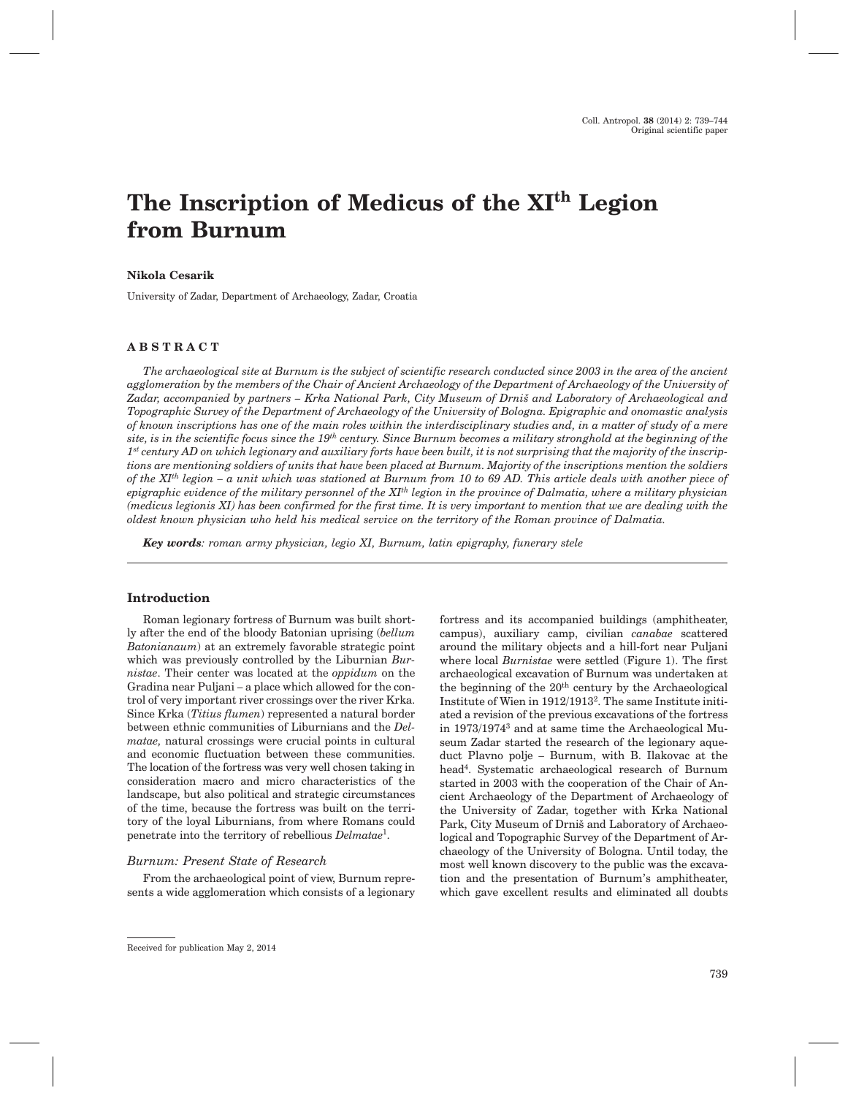# **The Inscription of Medicus of the XIth Legion from Burnum**

#### **Nikola Cesarik**

University of Zadar, Department of Archaeology, Zadar, Croatia

## **ABSTRACT**

*The archaeological site at Burnum is the subject of scientific research conducted since 2003 in the area of the ancient agglomeration by the members of the Chair of Ancient Archaeology of the Department of Archaeology of the University of* Zadar, accompanied by partners – Krka National Park, City Museum of Drniš and Laboratory of Archaeological and *Topographic Survey of the Department of Archaeology of the University of Bologna. Epigraphic and onomastic analysis of known inscriptions has one of the main roles within the interdisciplinary studies and, in a matter of study of a mere site, is in the scientific focus since the 19th century. Since Burnum becomes a military stronghold at the beginning of the 1st century AD on which legionary and auxiliary forts have been built, it is not surprising that the majority of the inscriptions are mentioning soldiers of units that have been placed at Burnum. Majority of the inscriptions mention the soldiers of the XIth legion – a unit which was stationed at Burnum from 10 to 69 AD. This article deals with another piece of epigraphic evidence of the military personnel of the XIth legion in the province of Dalmatia, where a military physician (medicus legionis XI) has been confirmed for the first time. It is very important to mention that we are dealing with the oldest known physician who held his medical service on the territory of the Roman province of Dalmatia.*

*Key words: roman army physician, legio XI, Burnum, latin epigraphy, funerary stele*

### **Introduction**

Roman legionary fortress of Burnum was built shortly after the end of the bloody Batonian uprising (*bellum Batonianaum*) at an extremely favorable strategic point which was previously controlled by the Liburnian *Burnistae*. Their center was located at the *oppidum* on the Gradina near Puljani – a place which allowed for the control of very important river crossings over the river Krka. Since Krka (*Titius flumen*) represented a natural border between ethnic communities of Liburnians and the *Delmatae,* natural crossings were crucial points in cultural and economic fluctuation between these communities. The location of the fortress was very well chosen taking in consideration macro and micro characteristics of the landscape, but also political and strategic circumstances of the time, because the fortress was built on the territory of the loyal Liburnians, from where Romans could penetrate into the territory of rebellious *Delmatae*1.

#### *Burnum: Present State of Research*

From the archaeological point of view, Burnum represents a wide agglomeration which consists of a legionary around the military objects and a hill-fort near Puljani where local *Burnistae* were settled (Figure 1). The first archaeological excavation of Burnum was undertaken at the beginning of the  $20<sup>th</sup>$  century by the Archaeological Institute of Wien in 1912/19132. The same Institute initiated a revision of the previous excavations of the fortress in 1973/19743 and at same time the Archaeological Museum Zadar started the research of the legionary aqueduct Plavno polje – Burnum, with B. Ilakovac at the head4. Systematic archaeological research of Burnum started in 2003 with the cooperation of the Chair of Ancient Archaeology of the Department of Archaeology of the University of Zadar, together with Krka National Park, City Museum of Drniš and Laboratory of Archaeological and Topographic Survey of the Department of Archaeology of the University of Bologna. Until today, the most well known discovery to the public was the excavation and the presentation of Burnum's amphitheater, which gave excellent results and eliminated all doubts

fortress and its accompanied buildings (amphitheater, campus), auxiliary camp, civilian *canabae* scattered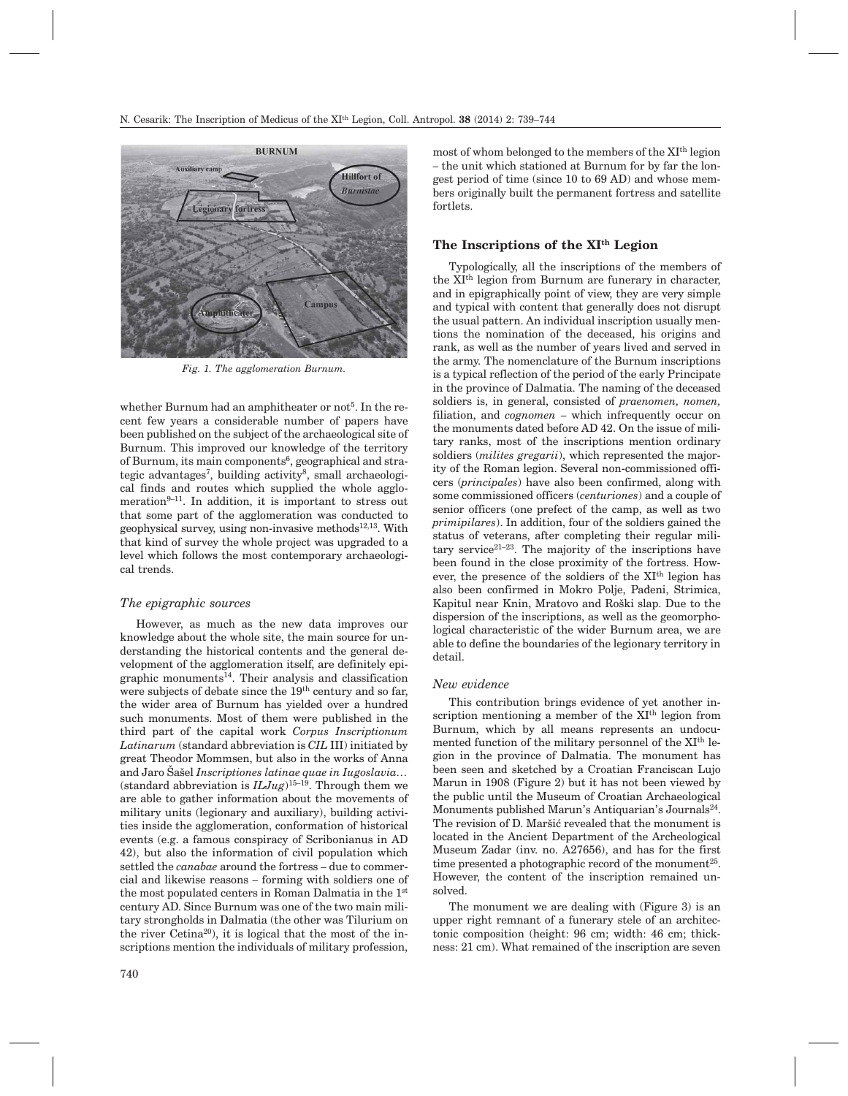

*Fig. 1. The agglomeration Burnum.*

whether Burnum had an amphitheater or not<sup>5</sup>. In the recent few years a considerable number of papers have been published on the subject of the archaeological site of Burnum. This improved our knowledge of the territory of Burnum, its main components<sup>6</sup>, geographical and strategic advantages<sup>7</sup>, building activity<sup>8</sup>, small archaeological finds and routes which supplied the whole agglomeration $9-11$ . In addition, it is important to stress out that some part of the agglomeration was conducted to geophysical survey, using non-invasive methods $12,13$ . With that kind of survey the whole project was upgraded to a level which follows the most contemporary archaeological trends.

#### *The epigraphic sources*

However, as much as the new data improves our knowledge about the whole site, the main source for understanding the historical contents and the general development of the agglomeration itself, are definitely epigraphic monuments<sup>14</sup>. Their analysis and classification were subjects of debate since the 19th century and so far, the wider area of Burnum has yielded over a hundred such monuments. Most of them were published in the third part of the capital work *Corpus Inscriptionum Latinarum* (standard abbreviation is *CIL* III) initiated by great Theodor Mommsen, but also in the works of Anna and Jaro Šašel *Inscriptiones latinae quae in Iugoslavia*... (standard abbreviation is  $ILJug$ )<sup>15–19</sup>. Through them we are able to gather information about the movements of military units (legionary and auxiliary), building activities inside the agglomeration, conformation of historical events (e.g. a famous conspiracy of Scribonianus in AD 42), but also the information of civil population which settled the *canabae* around the fortress – due to commercial and likewise reasons – forming with soldiers one of the most populated centers in Roman Dalmatia in the 1st century AD. Since Burnum was one of the two main military strongholds in Dalmatia (the other was Tilurium on the river Cetina<sup>20</sup>), it is logical that the most of the inscriptions mention the individuals of military profession,

740

most of whom belonged to the members of the XIth legion – the unit which stationed at Burnum for by far the longest period of time (since 10 to 69 AD) and whose members originally built the permanent fortress and satellite fortlets.

## **The Inscriptions of the XIth Legion**

Typologically, all the inscriptions of the members of the XIth legion from Burnum are funerary in character, and in epigraphically point of view, they are very simple and typical with content that generally does not disrupt the usual pattern. An individual inscription usually mentions the nomination of the deceased, his origins and rank, as well as the number of years lived and served in the army. The nomenclature of the Burnum inscriptions is a typical reflection of the period of the early Principate in the province of Dalmatia. The naming of the deceased soldiers is, in general, consisted of *praenomen, nomen,* filiation, and *cognomen* – which infrequently occur on the monuments dated before AD 42. On the issue of military ranks, most of the inscriptions mention ordinary soldiers (*milites gregarii*), which represented the majority of the Roman legion. Several non-commissioned officers (*principales*) have also been confirmed, along with some commissioned officers (*centuriones*) and a couple of senior officers (one prefect of the camp, as well as two *primipilares*). In addition, four of the soldiers gained the status of veterans, after completing their regular military service<sup>21-23</sup>. The majority of the inscriptions have been found in the close proximity of the fortress. However, the presence of the soldiers of the XIth legion has also been confirmed in Mokro Polje, Pađeni, Strimica, Kapitul near Knin, Mratovo and Roški slap. Due to the dispersion of the inscriptions, as well as the geomorphological characteristic of the wider Burnum area, we are able to define the boundaries of the legionary territory in detail.

#### *New evidence*

This contribution brings evidence of yet another inscription mentioning a member of the XI<sup>th</sup> legion from Burnum, which by all means represents an undocumented function of the military personnel of the XIth legion in the province of Dalmatia. The monument has been seen and sketched by a Croatian Franciscan Lujo Marun in 1908 (Figure 2) but it has not been viewed by the public until the Museum of Croatian Archaeological Monuments published Marun's Antiquarian's Journals<sup>24</sup>. The revision of D. Maršić revealed that the monument is located in the Ancient Department of the Archeological Museum Zadar (inv. no. A27656), and has for the first time presented a photographic record of the monument<sup>25</sup>. However, the content of the inscription remained unsolved.

The monument we are dealing with (Figure 3) is an upper right remnant of a funerary stele of an architectonic composition (height: 96 cm; width: 46 cm; thickness: 21 cm). What remained of the inscription are seven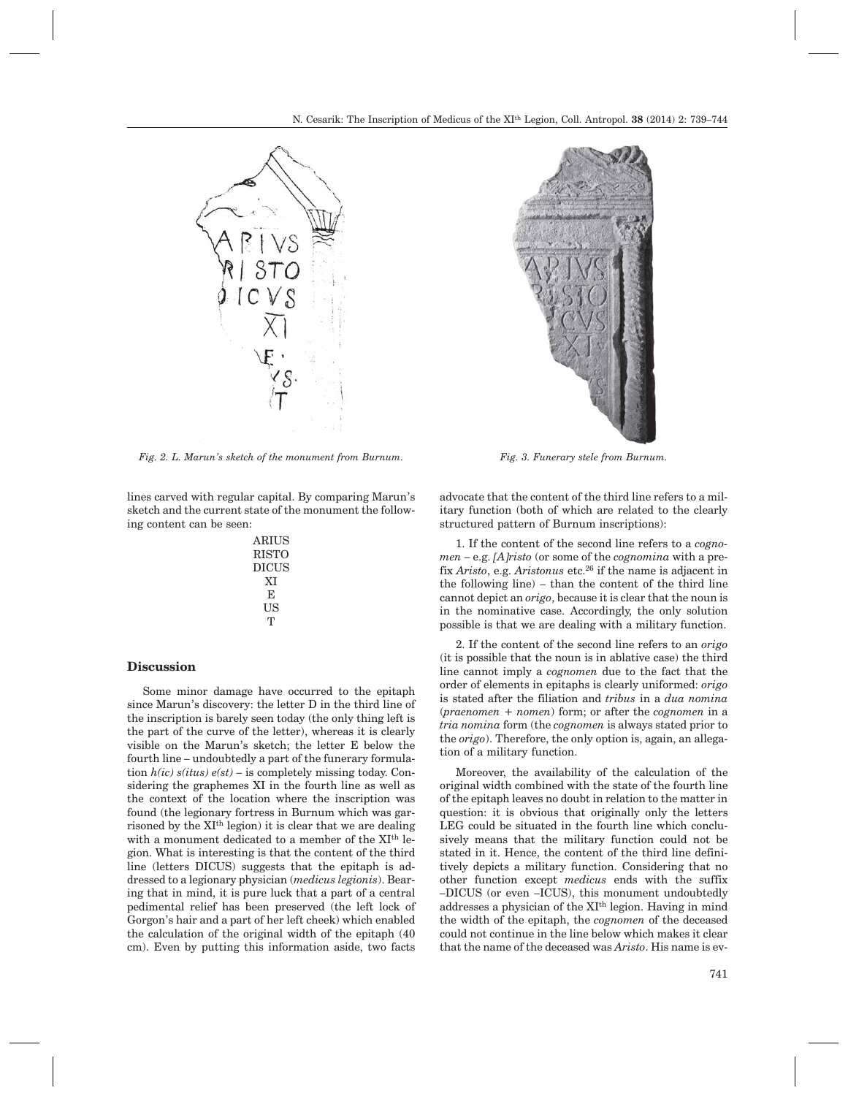

*Fig. 2. L. Marun's sketch of the monument from Burnum. Fig. 3. Funerary stele from Burnum.*

lines carved with regular capital. By comparing Marun's sketch and the current state of the monument the following content can be seen:

| <b>ARIUS</b> |
|--------------|
| <b>RISTO</b> |
| <b>DICUS</b> |
| XІ           |
| F.           |
| US           |
| т            |

#### **Discussion**

Some minor damage have occurred to the epitaph since Marun's discovery: the letter D in the third line of the inscription is barely seen today (the only thing left is the part of the curve of the letter), whereas it is clearly visible on the Marun's sketch; the letter E below the fourth line – undoubtedly a part of the funerary formulation *h(ic) s(itus) e(st)* – is completely missing today. Considering the graphemes XI in the fourth line as well as the context of the location where the inscription was found (the legionary fortress in Burnum which was garrisoned by the XIth legion) it is clear that we are dealing with a monument dedicated to a member of the XIth legion. What is interesting is that the content of the third line (letters DICUS) suggests that the epitaph is addressed to a legionary physician (*medicus legionis*). Bearing that in mind, it is pure luck that a part of a central pedimental relief has been preserved (the left lock of Gorgon's hair and a part of her left cheek) which enabled the calculation of the original width of the epitaph (40 cm). Even by putting this information aside, two facts



advocate that the content of the third line refers to a military function (both of which are related to the clearly structured pattern of Burnum inscriptions):

1. If the content of the second line refers to a *cognomen* – e.g. *[A]risto* (or some of the *cognomina* with a prefix *Aristo*, e.g. *Aristonus* etc.26 if the name is adjacent in the following line) – than the content of the third line cannot depict an *origo*, because it is clear that the noun is in the nominative case. Accordingly, the only solution possible is that we are dealing with a military function.

2. If the content of the second line refers to an *origo* (it is possible that the noun is in ablative case) the third line cannot imply a *cognomen* due to the fact that the order of elements in epitaphs is clearly uniformed: *origo* is stated after the filiation and *tribus* in a *dua nomina* (*praenomen + nomen*) form; or after the *cognomen* in a *tria nomina* form (the *cognomen* is always stated prior to the *origo*). Therefore, the only option is, again, an allegation of a military function.

Moreover, the availability of the calculation of the original width combined with the state of the fourth line of the epitaph leaves no doubt in relation to the matter in question: it is obvious that originally only the letters LEG could be situated in the fourth line which conclusively means that the military function could not be stated in it. Hence, the content of the third line definitively depicts a military function. Considering that no other function except *medicus* ends with the suffix –DICUS (or even –ICUS), this monument undoubtedly addresses a physician of the XIth legion. Having in mind the width of the epitaph, the *cognomen* of the deceased could not continue in the line below which makes it clear that the name of the deceased was *Aristo*. His name is ev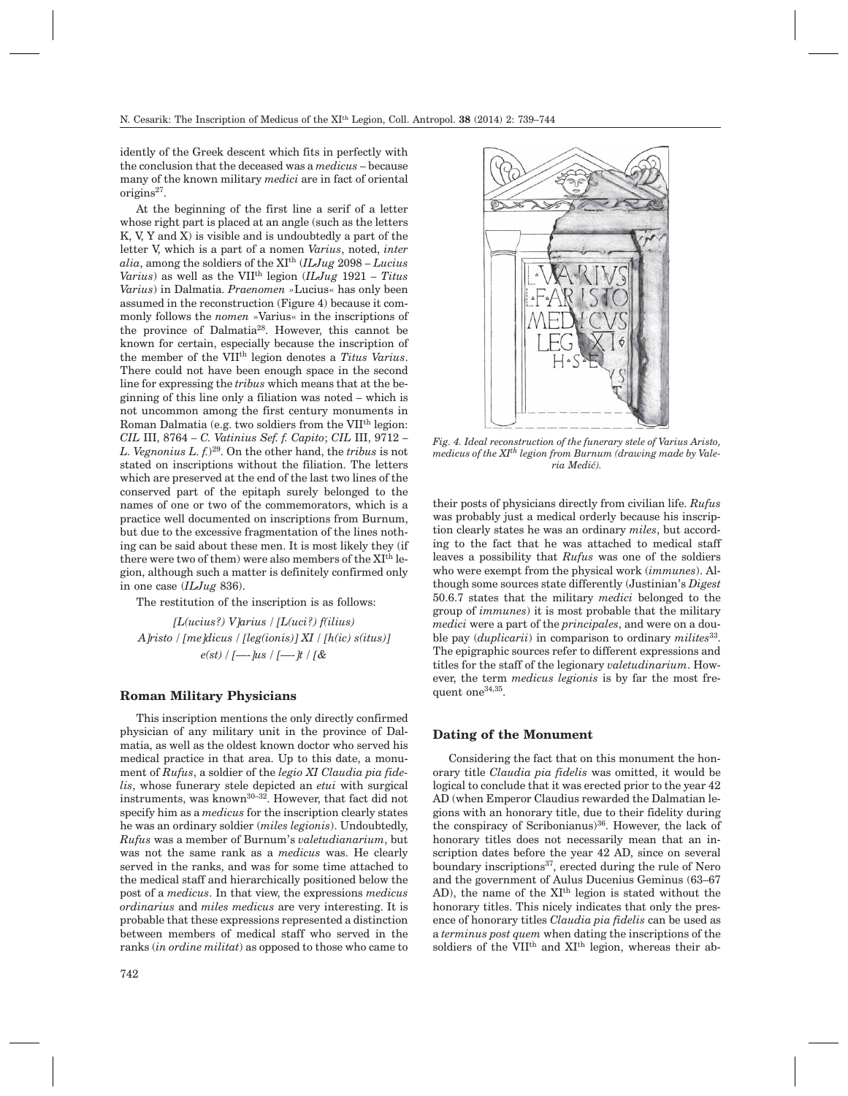idently of the Greek descent which fits in perfectly with the conclusion that the deceased was a *medicus* – because many of the known military *medici* are in fact of oriental origins<sup>27</sup>.

At the beginning of the first line a serif of a letter whose right part is placed at an angle (such as the letters K, V, Y and X) is visible and is undoubtedly a part of the letter V, which is a part of a nomen *Varius*, noted, *inter alia*, among the soldiers of the XIth (*ILJug* 2098 – *Lucius Varius*) as well as the VIIth legion (*ILJug* 1921 – *Titus Varius*) in Dalmatia. *Praenomen »*Lucius« has only been assumed in the reconstruction (Figure 4) because it commonly follows the *nomen* »Varius« in the inscriptions of the province of Dalmatia28. However, this cannot be known for certain, especially because the inscription of the member of the VIIth legion denotes a *Titus Varius*. There could not have been enough space in the second line for expressing the *tribus* which means that at the beginning of this line only a filiation was noted – which is not uncommon among the first century monuments in Roman Dalmatia (e.g. two soldiers from the VIIth legion: *CIL* III, 8764 – *C. Vatinius Sef. f. Capito*; *CIL* III, 9712 – *L. Vegnonius L. f.*)29. On the other hand, the *tribus* is not stated on inscriptions without the filiation. The letters which are preserved at the end of the last two lines of the conserved part of the epitaph surely belonged to the names of one or two of the commemorators, which is a practice well documented on inscriptions from Burnum, but due to the excessive fragmentation of the lines nothing can be said about these men. It is most likely they (if there were two of them) were also members of the XIth legion, although such a matter is definitely confirmed only in one case (*ILJug* 836).

The restitution of the inscription is as follows:

*[L(ucius?) V]arius / [L(uci?) f(ilius) A]risto / [me]dicus / [leg(ionis)] XI / [h(ic) s(itus)] e(st) / [—-]us / [—-]t / [&*

#### **Roman Military Physicians**

This inscription mentions the only directly confirmed physician of any military unit in the province of Dalmatia, as well as the oldest known doctor who served his medical practice in that area. Up to this date, a monument of *Rufus*, a soldier of the *legio XI Claudia pia fidelis*, whose funerary stele depicted an *etui* with surgical instruments, was known<sup>30-32</sup>. However, that fact did not specify him as a *medicus* for the inscription clearly states he was an ordinary soldier (*miles legionis*). Undoubtedly, *Rufus* was a member of Burnum's *valetudianarium*, but was not the same rank as a *medicus* was. He clearly served in the ranks, and was for some time attached to the medical staff and hierarchically positioned below the post of a *medicus*. In that view, the expressions *medicus ordinarius* and *miles medicus* are very interesting. It is probable that these expressions represented a distinction between members of medical staff who served in the ranks (*in ordine militat*) as opposed to those who came to



*Fig. 4. Ideal reconstruction of the funerary stele of Varius Aristo, medicus of the XIth legion from Burnum (drawing made by Valeria Medi}).*

their posts of physicians directly from civilian life. *Rufus* was probably just a medical orderly because his inscription clearly states he was an ordinary *miles*, but according to the fact that he was attached to medical staff leaves a possibility that *Rufus* was one of the soldiers who were exempt from the physical work (*immunes*). Although some sources state differently (Justinian's *Digest* 50.6.7 states that the military *medici* belonged to the group of *immunes*) it is most probable that the military *medici* were a part of the *principales*, and were on a double pay (*duplicarii*) in comparison to ordinary *milites*33. The epigraphic sources refer to different expressions and titles for the staff of the legionary *valetudinarium*. However, the term *medicus legionis* is by far the most frequent one<sup>34,35</sup>.

#### **Dating of the Monument**

Considering the fact that on this monument the honorary title *Claudia pia fidelis* was omitted, it would be logical to conclude that it was erected prior to the year 42 AD (when Emperor Claudius rewarded the Dalmatian legions with an honorary title, due to their fidelity during the conspiracy of Scribonianus) $36$ . However, the lack of honorary titles does not necessarily mean that an inscription dates before the year 42 AD, since on several boundary inscriptions<sup>37</sup>, erected during the rule of Nero and the government of Aulus Ducenius Geminus (63–67 AD), the name of the XIth legion is stated without the honorary titles. This nicely indicates that only the presence of honorary titles *Claudia pia fidelis* can be used as a *terminus post quem* when dating the inscriptions of the soldiers of the VII<sup>th</sup> and XI<sup>th</sup> legion, whereas their ab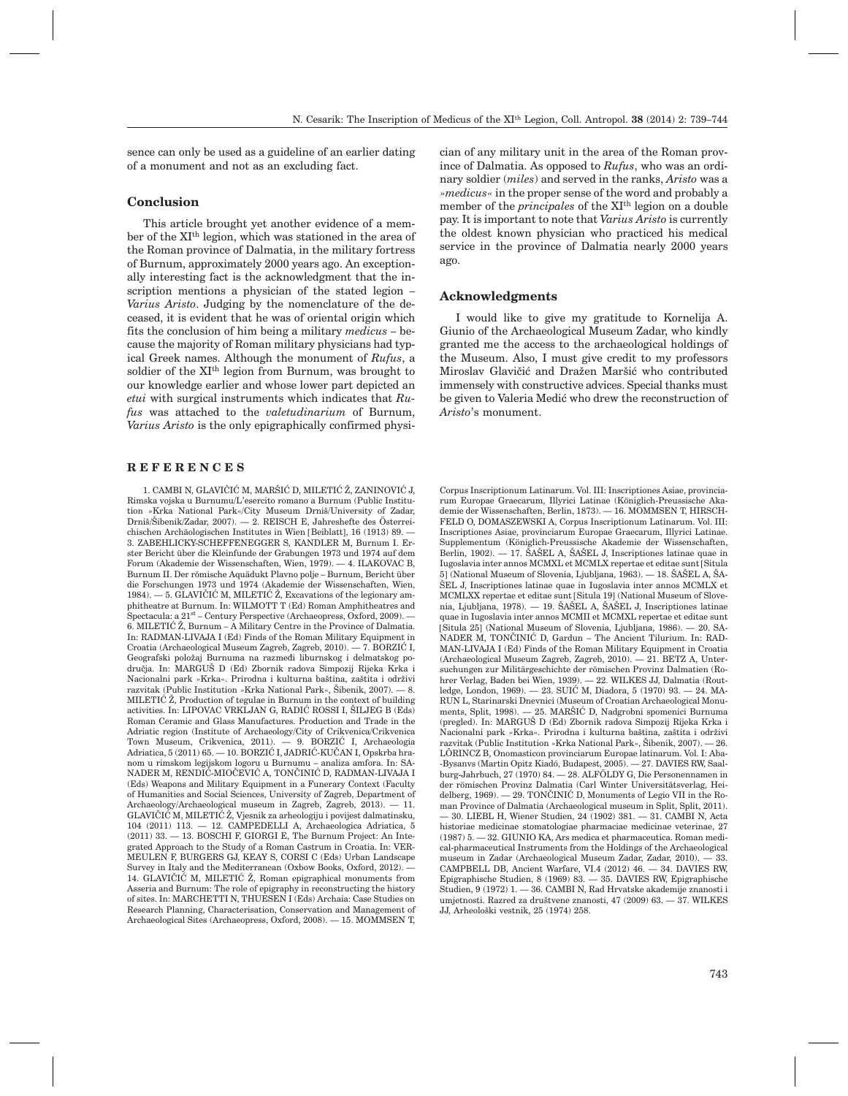sence can only be used as a guideline of an earlier dating of a monument and not as an excluding fact.

## **Conclusion**

This article brought yet another evidence of a member of the XIth legion, which was stationed in the area of the Roman province of Dalmatia, in the military fortress of Burnum, approximately 2000 years ago. An exceptionally interesting fact is the acknowledgment that the inscription mentions a physician of the stated legion – *Varius Aristo*. Judging by the nomenclature of the deceased, it is evident that he was of oriental origin which fits the conclusion of him being a military *medicus* – because the majority of Roman military physicians had typical Greek names. Although the monument of *Rufus*, a soldier of the XIth legion from Burnum, was brought to our knowledge earlier and whose lower part depicted an *etui* with surgical instruments which indicates that *Rufus* was attached to the *valetudinarium* of Burnum, *Varius Aristo* is the only epigraphically confirmed physi-

#### **REFERENCES**

1. CAMBI N, GLAVIČIĆ M, MARŠIĆ D, MILETIĆ Ž. ZANINOVIĆ J, Rimska vojska u Burnumu/L'esercito romano a Burnum (Public Institution »Krka National Park«/City Museum Drniš/University of Zadar, Drniš/Šibenik/Zadar, 2007). — 2. REISCH E, Jahreshefte des Österreichischen Archäologischen Institutes in Wien [Beiblatt], 16 (1913) 89. — 3. ZABEHLICKY-SCHEFFENEGGER S, KANDLER M, Burnum I. Erster Bericht über die Kleinfunde der Grabungen 1973 und 1974 auf dem Forum (Akademie der Wissenschaften, Wien, 1979). — 4. ILAKOVAC B, Burnum II. Der römische Aquädukt Plavno polje – Burnum, Bericht über die Forschungen 1973 und 1974 (Akademie der Wissenschaften, Wien,  $1984.$   $-5.$  GLAVIČIĆ M, MILETIĆ  $\check{\mathbb{Z}}$ , Excavations of the legionary amphitheatre at Burnum. In: WILMOTT T (Ed) Roman Amphitheatres and Spectacula: a  $21<sup>st</sup>$  – Century Perspective (Archaeopress, Oxford, 2009). 6. MILETIĆ Ž, Burnum – A Military Centre in the Province of Dalmatia. In: RADMAN-LIVAJA I (Ed) Finds of the Roman Military Equipment in Croatia (Archaeological Museum Zagreb, Zagreb, 2010).  $-7.$  BORZIĆ I, Geografski položaj Burnuma na razmeđi liburnskog i delmatskog područja. In: MARGUŠ D (Ed) Zbornik radova Simpozij Rijeka Krka i Nacionalni park »Krka«. Prirodna i kulturna baština, zaštita i održivi razvitak (Public Institution »Krka National Park«, Šibenik, 2007). — 8. MILETIĆ  $\check{Z}$ . Production of tegulae in Burnum in the context of building activities. In: LIPOVAC VRKLJAN G, RADIĆ ROSSI I, ŠILJEG B (Eds) Roman Ceramic and Glass Manufactures. Production and Trade in the Adriatic region (Institute of Archaeology/City of Crikvenica/Crikvenica Town Museum, Crikvenica, 2011). - 9. BORZIĆ I, Archaeologia Adriatica, 5 (2011) 65. - 10. BORZIĆ I, JADRIĆ-KUČAN I, Opskrba hranom u rimskom legijskom logoru u Burnumu – analiza amfora. In: SA-NADER M, RENDIĆ-MIOČEVIĆ A, TONČINIĆ D, RADMAN-LIVAJA I (Eds) Weapons and Military Equipment in a Funerary Context (Faculty of Humanities and Social Sciences, University of Zagreb, Department of Archaeology/Archaeological museum in Zagreb, Zagreb, 2013). — 11. GLAVIČIĆ M, MILETIĆ Ž, Vjesnik za arheologiju i povijest dalmatinsku, 104 (2011) 113. — 12. CAMPEDELLI A, Archaeologica Adriatica, 5 (2011) 33. — 13. BOSCHI F, GIORGI E, The Burnum Project: An Integrated Approach to the Study of a Roman Castrum in Croatia. In: VER-MEULEN F, BURGERS GJ, KEAY S, CORSI C (Eds) Urban Landscape Survey in Italy and the Mediterranean (Oxbow Books, Oxford, 2012). — 14. GLAVIČI $\check{C}$  M, MILETI $\check{C}$   $\check{Z}$ , Roman epigraphical monuments from Asseria and Burnum: The role of epigraphy in reconstructing the history of sites. In: MARCHETTI N, THUESEN I (Eds) Archaia: Case Studies on Research Planning, Characterisation, Conservation and Management of Archaeological Sites (Archaeopress, Oxford, 2008). — 15. MOMMSEN T, cian of any military unit in the area of the Roman province of Dalmatia. As opposed to *Rufus*, who was an ordinary soldier (*miles*) and served in the ranks, *Aristo* was a »*medicus«* in the proper sense of the word and probably a member of the *principales* of the XIth legion on a double pay. It is important to note that *Varius Aristo* is currently the oldest known physician who practiced his medical service in the province of Dalmatia nearly 2000 years ago.

#### **Acknowledgments**

I would like to give my gratitude to Kornelija A. Giunio of the Archaeological Museum Zadar, who kindly granted me the access to the archaeological holdings of the Museum. Also, I must give credit to my professors Miroslav Glavičić and Dražen Maršić who contributed immensely with constructive advices. Special thanks must be given to Valeria Medić who drew the reconstruction of *Aristo*'s monument.

Corpus Inscriptionum Latinarum. Vol. III: Inscriptiones Asiae, provinciarum Europae Graecarum, Illyrici Latinae (Königlich-Preussische Akademie der Wissenschaften, Berlin, 1873). — 16. MOMMSEN T, HIRSCH-FELD O, DOMASZEWSKI A, Corpus Inscriptionum Latinarum. Vol. III: Inscriptiones Asiae, provinciarum Europae Graecarum, Illyrici Latinae. Supplementum (Königlich-Preussische Akademie der Wissenschaften, Berlin, 1902). — 17. ŠAŠEL A, ŠAŠEL J, Inscriptiones latinae quae in Iugoslavia inter annos MCMXL et MCMLX repertae et editae sunt [Situla 5] (National Museum of Slovenia, Ljubljana, 1963). — 18. ŠAŠEL A, ŠA- $\rm SEL$  J, Inscriptiones latinae quae in Iugoslavia inter annos  $\rm MCMLX$ et MCMLXX repertae et editae sunt [Situla 19] (National Museum of Slovenia, Ljubljana, 1978). — 19. ŠAŠEL A, ŠAŠEL J, Inscriptiones latinae quae in Iugoslavia inter annos MCMII et MCMXL repertae et editae sunt [Situla 25] (National Museum of Slovenia, Ljubljana, 1986). — 20. SA-NADER M, TONČINIĆ D, Gardun – The Ancient Tilurium. In: RAD-MAN-LIVAJA I (Ed) Finds of the Roman Military Equipment in Croatia (Archaeological Museum Zagreb, Zagreb, 2010). — 21. BETZ A, Untersuchungen zur Militärgeschichte der römischen Provinz Dalmatien (Rohrer Verlag, Baden bei Wien, 1939). — 22. WILKES JJ, Dalmatia (Routledge, London, 1969). — 23. SUIĆ M, Diadora, 5 (1970) 93. — 24. MA-RUN L, Starinarski Dnevnici (Museum of Croatian Archaeological Monuments, Split, 1998). — 25. MARŠIĆ D, Nadgrobni spomenici Burnuma (pregled). In: MARGUŠ D (Ed) Zbornik radova Simpozij Rijeka Krka i Nacionalni park »Krka«. Prirodna i kulturna baština, zaštita i održivi razvitak (Public Institution »Krka National Park«, Šibenik, 2007). — 26. LÕRINCZ B, Onomasticon provinciarum Europae latinarum. Vol. I: Aba- -Bysanvs (Martin Opitz Kiadó, Budapest, 2005). — 27. DAVIES RW, Saalburg-Jahrbuch, 27 (1970) 84. — 28. ALFÖLDY G, Die Personennamen in der römischen Provinz Dalmatia (Carl Winter Universitätsverlag, Heidelberg, 1969). — 29. TONČINIĆ D, Monuments of Legio VII in the Roman Province of Dalmatia (Archaeological museum in Split, Split, 2011). — 30. LIEBL H, Wiener Studien, 24 (1902) 381. — 31. CAMBI N, Acta historiae medicinae stomatologiae pharmaciae medicinae veterinae, 27 (1987) 5. — 32. GIUNIO KA, Ars medica et pharmaceutica. Roman medical-pharmaceutical Instruments from the Holdings of the Archaeological museum in Zadar (Archaeological Museum Zadar, Zadar, 2010). — 33. CAMPBELL DB, Ancient Warfare, VI.4 (2012) 46. — 34. DAVIES RW, Epigraphische Studien, 8 (1969) 83. — 35. DAVIES RW, Epigraphische Studien, 9 (1972) 1. — 36. CAMBI N, Rad Hrvatske akademije znanosti i umjetnosti. Razred za društvene znanosti, 47 (2009) 63. - 37. WILKES JJ, Arheolo{ki vestnik, 25 (1974) 258.